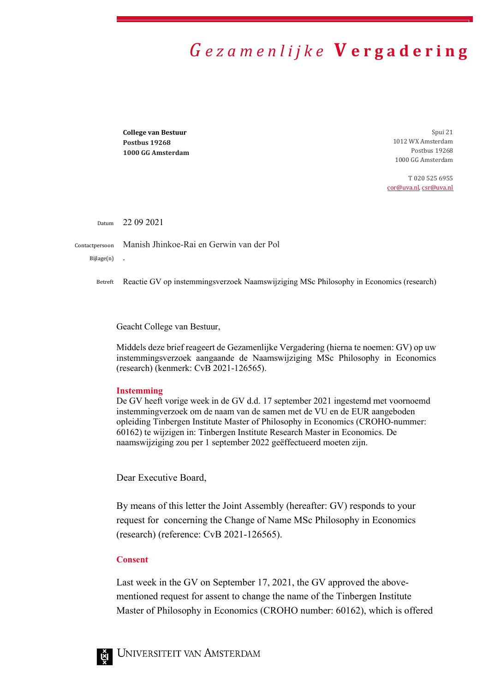## *G e z a m e n l i j k e* **V e r g a d e r i n g**

**College van Bestuur Postbus 19268 1000 GG Amsterdam**

Spui 21 1012 WX Amsterdam Postbus 19268 1000 GG Amsterdam

T 020 525 6955 [cor@uva.nl,](mailto:cor@uva.nl) [csr@uva.nl](mailto:csr@uva.nl) 

Datum 22 09 2021

Contactpersoon Manish Jhinkoe-Rai en Gerwin van der Pol

Bijlage(n)

Betreft Reactie GV op instemmingsverzoek Naamswijziging MSc Philosophy in Economics (research)

Geacht College van Bestuur,

Middels deze brief reageert de Gezamenlijke Vergadering (hierna te noemen: GV) op uw instemmingsverzoek aangaande de Naamswijziging MSc Philosophy in Economics (research) (kenmerk: CvB 2021-126565).

## **Instemming**

De GV heeft vorige week in de GV d.d. 17 september 2021 ingestemd met voornoemd instemmingverzoek om de naam van de samen met de VU en de EUR aangeboden opleiding Tinbergen Institute Master of Philosophy in Economics (CROHO-nummer: 60162) te wijzigen in: Tinbergen Institute Research Master in Economics. De naamswijziging zou per 1 september 2022 geëffectueerd moeten zijn.

Dear Executive Board,

By means of this letter the Joint Assembly (hereafter: GV) responds to your request for concerning the Change of Name MSc Philosophy in Economics (research) (reference: CvB 2021-126565).

## **Consent**

Last week in the GV on September 17, 2021, the GV approved the abovementioned request for assent to change the name of the Tinbergen Institute Master of Philosophy in Economics (CROHO number: 60162), which is offered